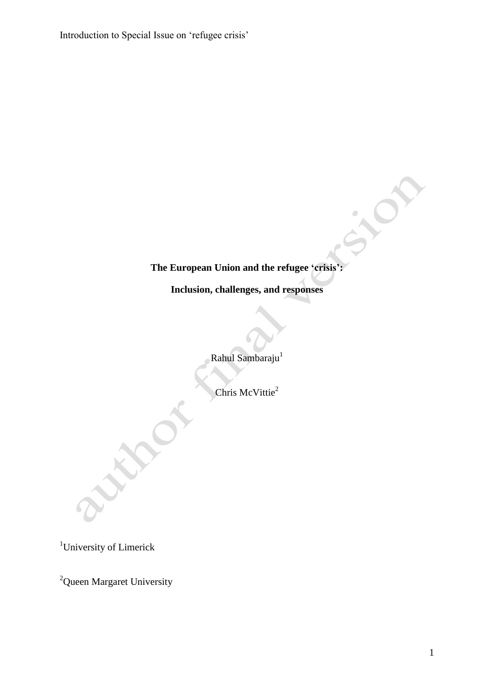Introduction to Special Issue on 'refugee crisis'

# **The European Union and the refugee 'crisis':**

**Inclusion, challenges, and responses**

 $\bigcap$ Rahul Sambaraju<sup>1</sup>

Chris McVittie<sup>2</sup>

<sup>1</sup>University of Limerick

<sup>2</sup>Queen Margaret University

BR.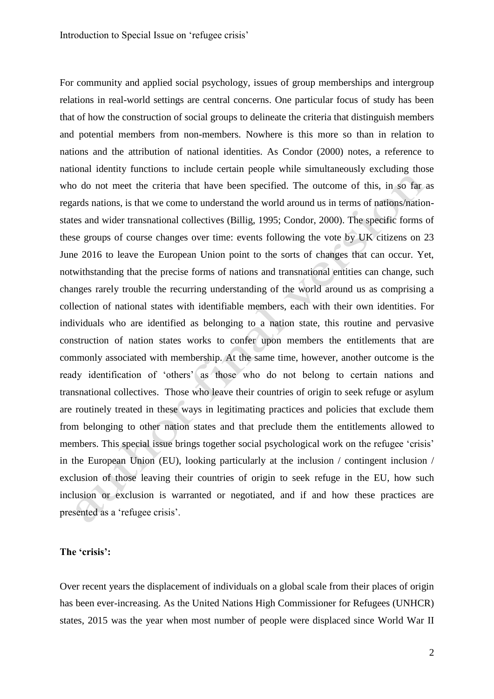For community and applied social psychology, issues of group memberships and intergroup relations in real-world settings are central concerns. One particular focus of study has been that of how the construction of social groups to delineate the criteria that distinguish members and potential members from non-members. Nowhere is this more so than in relation to nations and the attribution of national identities. As Condor (2000) notes, a reference to national identity functions to include certain people while simultaneously excluding those who do not meet the criteria that have been specified. The outcome of this, in so far as regards nations, is that we come to understand the world around us in terms of nations/nationstates and wider transnational collectives (Billig, 1995; Condor, 2000). The specific forms of these groups of course changes over time: events following the vote by UK citizens on 23 June 2016 to leave the European Union point to the sorts of changes that can occur. Yet, notwithstanding that the precise forms of nations and transnational entities can change, such changes rarely trouble the recurring understanding of the world around us as comprising a collection of national states with identifiable members, each with their own identities. For individuals who are identified as belonging to a nation state, this routine and pervasive construction of nation states works to confer upon members the entitlements that are commonly associated with membership. At the same time, however, another outcome is the ready identification of 'others' as those who do not belong to certain nations and transnational collectives. Those who leave their countries of origin to seek refuge or asylum are routinely treated in these ways in legitimating practices and policies that exclude them from belonging to other nation states and that preclude them the entitlements allowed to members. This special issue brings together social psychological work on the refugee 'crisis' in the European Union (EU), looking particularly at the inclusion / contingent inclusion / exclusion of those leaving their countries of origin to seek refuge in the EU, how such inclusion or exclusion is warranted or negotiated, and if and how these practices are presented as a 'refugee crisis'.

#### **The 'crisis':**

Over recent years the displacement of individuals on a global scale from their places of origin has been ever-increasing. As the United Nations High Commissioner for Refugees (UNHCR) states, 2015 was the year when most number of people were displaced since World War II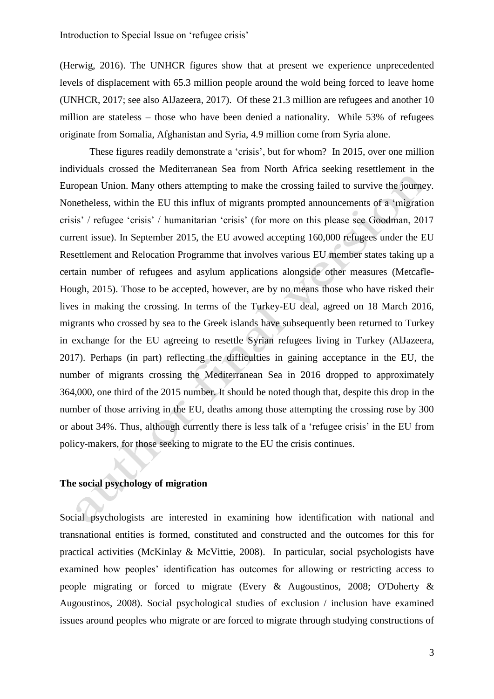(Herwig, 2016). The UNHCR figures show that at present we experience unprecedented levels of displacement with 65.3 million people around the wold being forced to leave home (UNHCR, 2017; see also AlJazeera, 2017). Of these 21.3 million are refugees and another 10 million are stateless – those who have been denied a nationality. While 53% of refugees originate from Somalia, Afghanistan and Syria, 4.9 million come from Syria alone.

These figures readily demonstrate a 'crisis', but for whom? In 2015, over one million individuals crossed the Mediterranean Sea from North Africa seeking resettlement in the European Union. Many others attempting to make the crossing failed to survive the journey. Nonetheless, within the EU this influx of migrants prompted announcements of a 'migration crisis' / refugee 'crisis' / humanitarian 'crisis' (for more on this please see Goodman, 2017 current issue). In September 2015, the EU avowed accepting 160,000 refugees under the EU Resettlement and Relocation Programme that involves various EU member states taking up a certain number of refugees and asylum applications alongside other measures (Metcafle-Hough, 2015). Those to be accepted, however, are by no means those who have risked their lives in making the crossing. In terms of the Turkey-EU deal, agreed on 18 March 2016, migrants who crossed by sea to the Greek islands have subsequently been returned to Turkey in exchange for the EU agreeing to resettle Syrian refugees living in Turkey (AlJazeera, 2017). Perhaps (in part) reflecting the difficulties in gaining acceptance in the EU, the number of migrants crossing the Mediterranean Sea in 2016 dropped to approximately 364,000, one third of the 2015 number. It should be noted though that, despite this drop in the number of those arriving in the EU, deaths among those attempting the crossing rose by 300 or about 34%. Thus, although currently there is less talk of a 'refugee crisis' in the EU from policy-makers, for those seeking to migrate to the EU the crisis continues.

## **The social psychology of migration**

Social psychologists are interested in examining how identification with national and transnational entities is formed, constituted and constructed and the outcomes for this for practical activities (McKinlay & McVittie, 2008). In particular, social psychologists have examined how peoples' identification has outcomes for allowing or restricting access to people migrating or forced to migrate (Every & Augoustinos, 2008; O'Doherty & Augoustinos, 2008). Social psychological studies of exclusion / inclusion have examined issues around peoples who migrate or are forced to migrate through studying constructions of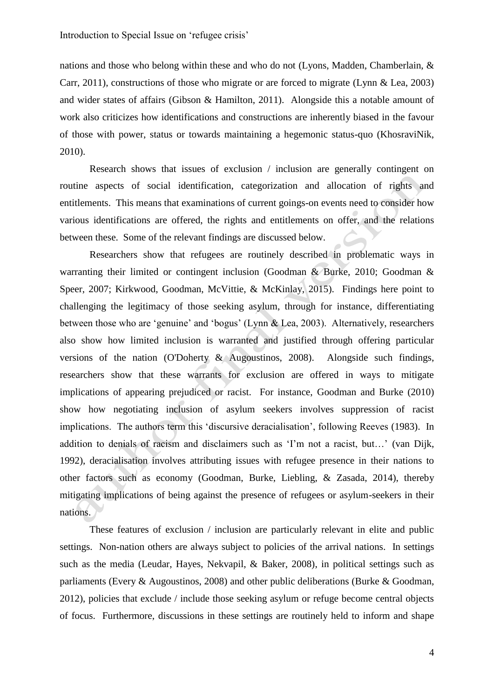nations and those who belong within these and who do not (Lyons, Madden, Chamberlain, & Carr, 2011), constructions of those who migrate or are forced to migrate (Lynn & Lea, 2003) and wider states of affairs (Gibson & Hamilton, 2011). Alongside this a notable amount of work also criticizes how identifications and constructions are inherently biased in the favour of those with power, status or towards maintaining a hegemonic status-quo (KhosraviNik, 2010).

Research shows that issues of exclusion / inclusion are generally contingent on routine aspects of social identification, categorization and allocation of rights and entitlements. This means that examinations of current goings-on events need to consider how various identifications are offered, the rights and entitlements on offer, and the relations between these. Some of the relevant findings are discussed below.

Researchers show that refugees are routinely described in problematic ways in warranting their limited or contingent inclusion (Goodman & Burke, 2010; Goodman & Speer, 2007; Kirkwood, Goodman, McVittie, & McKinlay, 2015). Findings here point to challenging the legitimacy of those seeking asylum, through for instance, differentiating between those who are 'genuine' and 'bogus' (Lynn & Lea, 2003). Alternatively, researchers also show how limited inclusion is warranted and justified through offering particular versions of the nation (O'Doherty & Augoustinos, 2008). Alongside such findings, researchers show that these warrants for exclusion are offered in ways to mitigate implications of appearing prejudiced or racist. For instance, Goodman and Burke (2010) show how negotiating inclusion of asylum seekers involves suppression of racist implications. The authors term this 'discursive deracialisation', following Reeves (1983). In addition to denials of racism and disclaimers such as 'I'm not a racist, but…' (van Dijk, 1992), deracialisation involves attributing issues with refugee presence in their nations to other factors such as economy (Goodman, Burke, Liebling, & Zasada, 2014), thereby mitigating implications of being against the presence of refugees or asylum-seekers in their nations.

These features of exclusion / inclusion are particularly relevant in elite and public settings. Non-nation others are always subject to policies of the arrival nations. In settings such as the media (Leudar, Hayes, Nekvapil, & Baker, 2008), in political settings such as parliaments (Every & Augoustinos, 2008) and other public deliberations (Burke & Goodman, 2012), policies that exclude / include those seeking asylum or refuge become central objects of focus. Furthermore, discussions in these settings are routinely held to inform and shape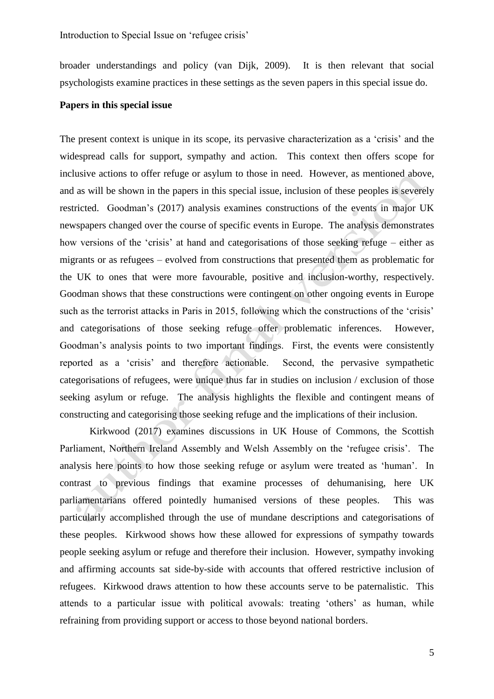broader understandings and policy (van Dijk, 2009). It is then relevant that social psychologists examine practices in these settings as the seven papers in this special issue do.

### **Papers in this special issue**

The present context is unique in its scope, its pervasive characterization as a 'crisis' and the widespread calls for support, sympathy and action. This context then offers scope for inclusive actions to offer refuge or asylum to those in need. However, as mentioned above, and as will be shown in the papers in this special issue, inclusion of these peoples is severely restricted. Goodman's (2017) analysis examines constructions of the events in major UK newspapers changed over the course of specific events in Europe. The analysis demonstrates how versions of the 'crisis' at hand and categorisations of those seeking refuge – either as migrants or as refugees – evolved from constructions that presented them as problematic for the UK to ones that were more favourable, positive and inclusion-worthy, respectively. Goodman shows that these constructions were contingent on other ongoing events in Europe such as the terrorist attacks in Paris in 2015, following which the constructions of the 'crisis' and categorisations of those seeking refuge offer problematic inferences. However, Goodman's analysis points to two important findings. First, the events were consistently reported as a 'crisis' and therefore actionable. Second, the pervasive sympathetic categorisations of refugees, were unique thus far in studies on inclusion / exclusion of those seeking asylum or refuge. The analysis highlights the flexible and contingent means of constructing and categorising those seeking refuge and the implications of their inclusion.

Kirkwood (2017) examines discussions in UK House of Commons, the Scottish Parliament, Northern Ireland Assembly and Welsh Assembly on the 'refugee crisis'. The analysis here points to how those seeking refuge or asylum were treated as 'human'. In contrast to previous findings that examine processes of dehumanising, here UK parliamentarians offered pointedly humanised versions of these peoples. This was particularly accomplished through the use of mundane descriptions and categorisations of these peoples. Kirkwood shows how these allowed for expressions of sympathy towards people seeking asylum or refuge and therefore their inclusion. However, sympathy invoking and affirming accounts sat side-by-side with accounts that offered restrictive inclusion of refugees. Kirkwood draws attention to how these accounts serve to be paternalistic. This attends to a particular issue with political avowals: treating 'others' as human, while refraining from providing support or access to those beyond national borders.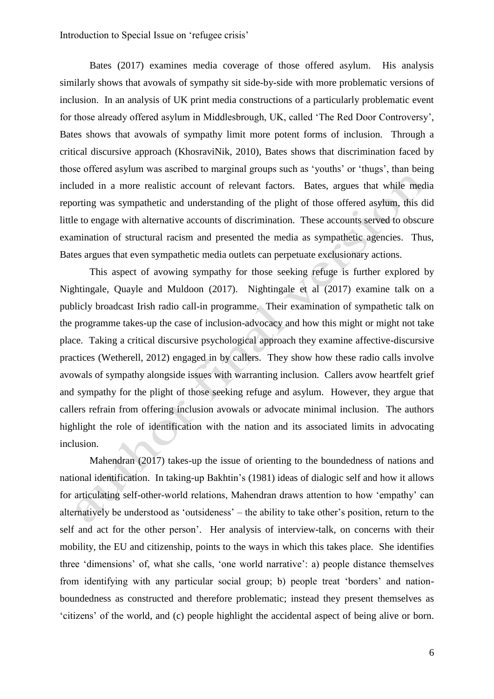Bates (2017) examines media coverage of those offered asylum. His analysis similarly shows that avowals of sympathy sit side-by-side with more problematic versions of inclusion. In an analysis of UK print media constructions of a particularly problematic event for those already offered asylum in Middlesbrough, UK, called 'The Red Door Controversy', Bates shows that avowals of sympathy limit more potent forms of inclusion. Through a critical discursive approach (KhosraviNik, 2010), Bates shows that discrimination faced by those offered asylum was ascribed to marginal groups such as 'youths' or 'thugs', than being included in a more realistic account of relevant factors. Bates, argues that while media reporting was sympathetic and understanding of the plight of those offered asylum, this did little to engage with alternative accounts of discrimination. These accounts served to obscure examination of structural racism and presented the media as sympathetic agencies. Thus, Bates argues that even sympathetic media outlets can perpetuate exclusionary actions.

This aspect of avowing sympathy for those seeking refuge is further explored by Nightingale, Quayle and Muldoon (2017). Nightingale et al (2017) examine talk on a publicly broadcast Irish radio call-in programme. Their examination of sympathetic talk on the programme takes-up the case of inclusion-advocacy and how this might or might not take place. Taking a critical discursive psychological approach they examine affective-discursive practices (Wetherell, 2012) engaged in by callers. They show how these radio calls involve avowals of sympathy alongside issues with warranting inclusion. Callers avow heartfelt grief and sympathy for the plight of those seeking refuge and asylum. However, they argue that callers refrain from offering inclusion avowals or advocate minimal inclusion. The authors highlight the role of identification with the nation and its associated limits in advocating inclusion.

Mahendran (2017) takes-up the issue of orienting to the boundedness of nations and national identification. In taking-up Bakhtin's (1981) ideas of dialogic self and how it allows for articulating self-other-world relations, Mahendran draws attention to how 'empathy' can alternatively be understood as 'outsideness' – the ability to take other's position, return to the self and act for the other person'. Her analysis of interview-talk, on concerns with their mobility, the EU and citizenship, points to the ways in which this takes place. She identifies three 'dimensions' of, what she calls, 'one world narrative': a) people distance themselves from identifying with any particular social group; b) people treat 'borders' and nationboundedness as constructed and therefore problematic; instead they present themselves as 'citizens' of the world, and (c) people highlight the accidental aspect of being alive or born.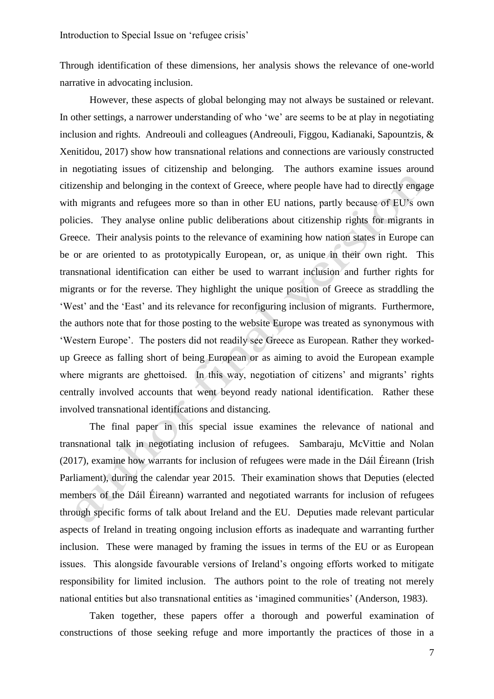Through identification of these dimensions, her analysis shows the relevance of one-world narrative in advocating inclusion.

However, these aspects of global belonging may not always be sustained or relevant. In other settings, a narrower understanding of who 'we' are seems to be at play in negotiating inclusion and rights. Andreouli and colleagues (Andreouli, Figgou, Kadianaki, Sapountzis, & Xenitidou, 2017) show how transnational relations and connections are variously constructed in negotiating issues of citizenship and belonging. The authors examine issues around citizenship and belonging in the context of Greece, where people have had to directly engage with migrants and refugees more so than in other EU nations, partly because of EU's own policies. They analyse online public deliberations about citizenship rights for migrants in Greece. Their analysis points to the relevance of examining how nation states in Europe can be or are oriented to as prototypically European, or, as unique in their own right. This transnational identification can either be used to warrant inclusion and further rights for migrants or for the reverse. They highlight the unique position of Greece as straddling the 'West' and the 'East' and its relevance for reconfiguring inclusion of migrants. Furthermore, the authors note that for those posting to the website Europe was treated as synonymous with 'Western Europe'. The posters did not readily see Greece as European. Rather they workedup Greece as falling short of being European or as aiming to avoid the European example where migrants are ghettoised. In this way, negotiation of citizens' and migrants' rights centrally involved accounts that went beyond ready national identification. Rather these involved transnational identifications and distancing.

The final paper in this special issue examines the relevance of national and transnational talk in negotiating inclusion of refugees. Sambaraju, McVittie and Nolan (2017), examine how warrants for inclusion of refugees were made in the Dáil Éireann (Irish Parliament), during the calendar year 2015. Their examination shows that Deputies (elected members of the Dáil Éireann) warranted and negotiated warrants for inclusion of refugees through specific forms of talk about Ireland and the EU. Deputies made relevant particular aspects of Ireland in treating ongoing inclusion efforts as inadequate and warranting further inclusion. These were managed by framing the issues in terms of the EU or as European issues. This alongside favourable versions of Ireland's ongoing efforts worked to mitigate responsibility for limited inclusion. The authors point to the role of treating not merely national entities but also transnational entities as 'imagined communities' (Anderson, 1983).

Taken together, these papers offer a thorough and powerful examination of constructions of those seeking refuge and more importantly the practices of those in a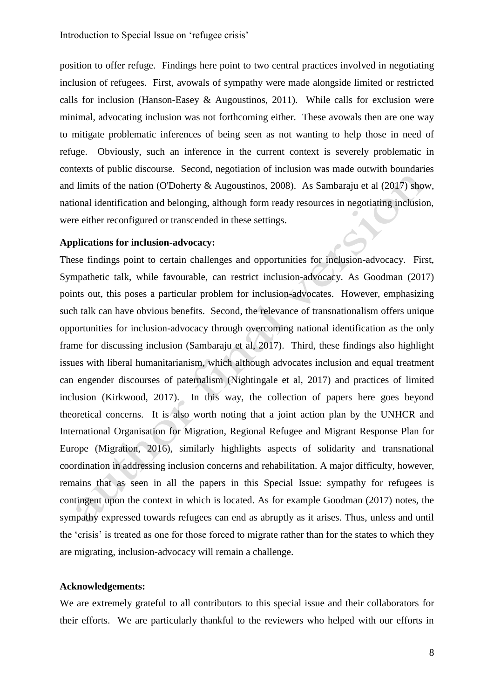position to offer refuge. Findings here point to two central practices involved in negotiating inclusion of refugees. First, avowals of sympathy were made alongside limited or restricted calls for inclusion (Hanson-Easey & Augoustinos, 2011). While calls for exclusion were minimal, advocating inclusion was not forthcoming either. These avowals then are one way to mitigate problematic inferences of being seen as not wanting to help those in need of refuge. Obviously, such an inference in the current context is severely problematic in contexts of public discourse. Second, negotiation of inclusion was made outwith boundaries and limits of the nation (O'Doherty & Augoustinos, 2008). As Sambaraju et al (2017) show, national identification and belonging, although form ready resources in negotiating inclusion, were either reconfigured or transcended in these settings.

#### **Applications for inclusion-advocacy:**

These findings point to certain challenges and opportunities for inclusion-advocacy. First, Sympathetic talk, while favourable, can restrict inclusion-advocacy. As Goodman (2017) points out, this poses a particular problem for inclusion-advocates. However, emphasizing such talk can have obvious benefits. Second, the relevance of transnationalism offers unique opportunities for inclusion-advocacy through overcoming national identification as the only frame for discussing inclusion (Sambaraju et al, 2017). Third, these findings also highlight issues with liberal humanitarianism, which although advocates inclusion and equal treatment can engender discourses of paternalism (Nightingale et al, 2017) and practices of limited inclusion (Kirkwood, 2017). In this way, the collection of papers here goes beyond theoretical concerns. It is also worth noting that a joint action plan by the UNHCR and International Organisation for Migration, Regional Refugee and Migrant Response Plan for Europe (Migration, 2016), similarly highlights aspects of solidarity and transnational coordination in addressing inclusion concerns and rehabilitation. A major difficulty, however, remains that as seen in all the papers in this Special Issue: sympathy for refugees is contingent upon the context in which is located. As for example Goodman (2017) notes, the sympathy expressed towards refugees can end as abruptly as it arises. Thus, unless and until the 'crisis' is treated as one for those forced to migrate rather than for the states to which they are migrating, inclusion-advocacy will remain a challenge.

### **Acknowledgements:**

We are extremely grateful to all contributors to this special issue and their collaborators for their efforts. We are particularly thankful to the reviewers who helped with our efforts in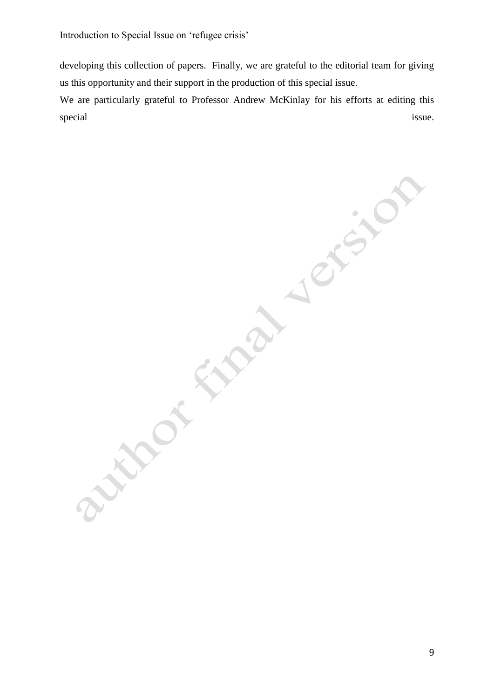Introduction to Special Issue on 'refugee crisis'

developing this collection of papers. Finally, we are grateful to the editorial team for giving us this opportunity and their support in the production of this special issue.

We are particularly grateful to Professor Andrew McKinlay for his efforts at editing this special issue.

Creigh  $35/3$ Autor Elgan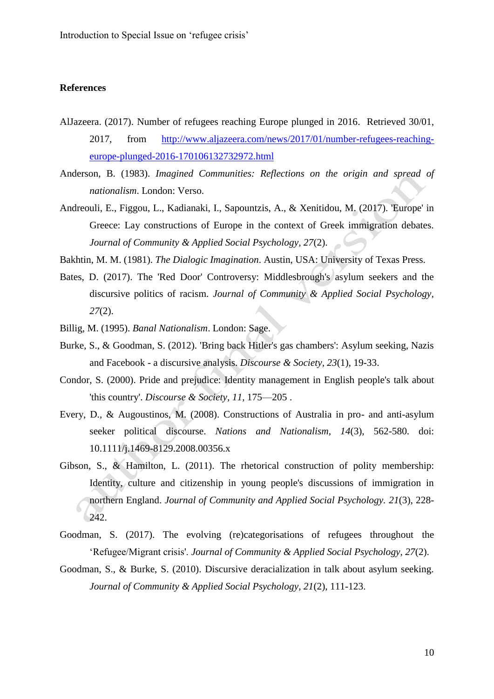### **References**

- AlJazeera. (2017). Number of refugees reaching Europe plunged in 2016. Retrieved 30/01, 2017, from [http://www.aljazeera.com/news/2017/01/number-refugees-reaching](http://www.aljazeera.com/news/2017/01/number-refugees-reaching-europe-plunged-2016-170106132732972.html)[europe-plunged-2016-170106132732972.html](http://www.aljazeera.com/news/2017/01/number-refugees-reaching-europe-plunged-2016-170106132732972.html)
- Anderson, B. (1983). *Imagined Communities: Reflections on the origin and spread of nationalism*. London: Verso.
- Andreouli, E., Figgou, L., Kadianaki, I., Sapountzis, A., & Xenitidou, M. (2017). 'Europe' in Greece: Lay constructions of Europe in the context of Greek immigration debates. *Journal of Community & Applied Social Psychology, 27*(2).
- Bakhtin, M. M. (1981). *The Dialogic Imagination*. Austin, USA: University of Texas Press.
- Bates, D. (2017). The 'Red Door' Controversy: Middlesbrough's asylum seekers and the discursive politics of racism. *Journal of Community & Applied Social Psychology, 27*(2).
- Billig, M. (1995). *Banal Nationalism*. London: Sage.
- Burke, S., & Goodman, S. (2012). 'Bring back Hitler's gas chambers': Asylum seeking, Nazis and Facebook - a discursive analysis. *Discourse & Society, 23*(1), 19-33.
- Condor, S. (2000). Pride and prejudice: Identity management in English people's talk about 'this country'. *Discourse & Society, 11,* 175—205 .
- Every, D., & Augoustinos, M. (2008). Constructions of Australia in pro- and anti-asylum seeker political discourse. *Nations and Nationalism, 14*(3), 562-580. doi: 10.1111/j.1469-8129.2008.00356.x
- Gibson, S., & Hamilton, L. (2011). The rhetorical construction of polity membership: Identity, culture and citizenship in young people's discussions of immigration in northern England. *Journal of Community and Applied Social Psychology. 21*(3), 228- 242.
- Goodman, S. (2017). The evolving (re)categorisations of refugees throughout the 'Refugee/Migrant crisis'. *Journal of Community & Applied Social Psychology, 27*(2).
- Goodman, S., & Burke, S. (2010). Discursive deracialization in talk about asylum seeking. *Journal of Community & Applied Social Psychology, 21*(2), 111-123.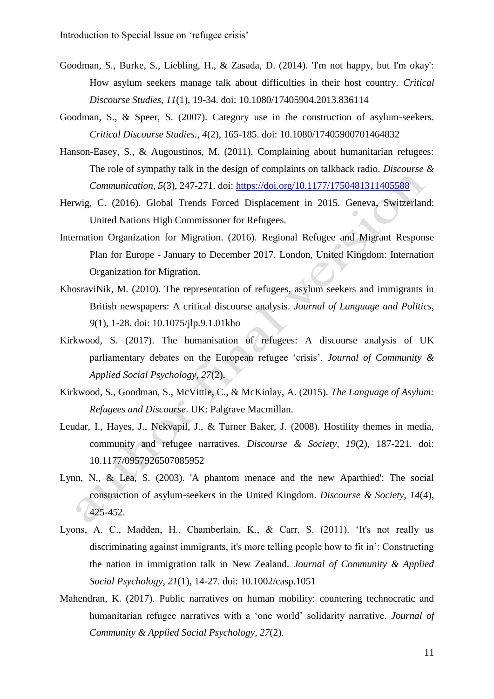- Goodman, S., Burke, S., Liebling, H., & Zasada, D. (2014). 'I'm not happy, but I'm okay': How asylum seekers manage talk about difficulties in their host country. *Critical Discourse Studies, 11*(1), 19-34. doi: 10.1080/17405904.2013.836114
- Goodman, S., & Speer, S. (2007). Category use in the construction of asylum-seekers. *Critical Discourse Studies., 4*(2), 165-185. doi: 10.1080/17405900701464832
- Hanson-Easey, S., & Augoustinos, M. (2011). Complaining about humanitarian refugees: The role of sympathy talk in the design of complaints on talkback radio. *Discourse & Communication, 5*(3), 247-271. doi:<https://doi.org/10.1177/1750481311405588>
- Herwig, C. (2016). Global Trends Forced Displacement in 2015. Geneva, Switzerland: United Nations High Commissoner for Refugees.
- Internation Organization for Migration. (2016). Regional Refugee and Migrant Response Plan for Europe - January to December 2017. London, United Kingdom: Internation Organization for Migration.
- KhosraviNik, M. (2010). The representation of refugees, asylum seekers and immigrants in British newspapers: A critical discourse analysis. *Journal of Language and Politics, 9*(1), 1-28. doi: 10.1075/jlp.9.1.01kho
- Kirkwood, S. (2017). The humanisation of refugees: A discourse analysis of UK parliamentary debates on the European refugee 'crisis'. *Journal of Community & Applied Social Psychology, 27*(2).
- Kirkwood, S., Goodman, S., McVittie, C., & McKinlay, A. (2015). *The Language of Asylum: Refugees and Discourse*. UK: Palgrave Macmillan.
- Leudar, I., Hayes, J., Nekvapil, J., & Turner Baker, J. (2008). Hostility themes in media, community and refugee narratives. *Discourse & Society, 19*(2), 187-221. doi: 10.1177/0957926507085952
- Lynn, N., & Lea, S. (2003). 'A phantom menace and the new Aparthied': The social construction of asylum-seekers in the United Kingdom. *Discourse & Society, 14*(4), 425-452.
- Lyons, A. C., Madden, H., Chamberlain, K., & Carr, S. (2011). 'It's not really us discriminating against immigrants, it's more telling people how to fit in': Constructing the nation in immigration talk in New Zealand. *Journal of Community & Applied Social Psychology, 21*(1), 14-27. doi: 10.1002/casp.1051
- Mahendran, K. (2017). Public narratives on human mobility: countering technocratic and humanitarian refugee narratives with a 'one world' solidarity narrative. *Journal of Community & Applied Social Psychology, 27*(2).